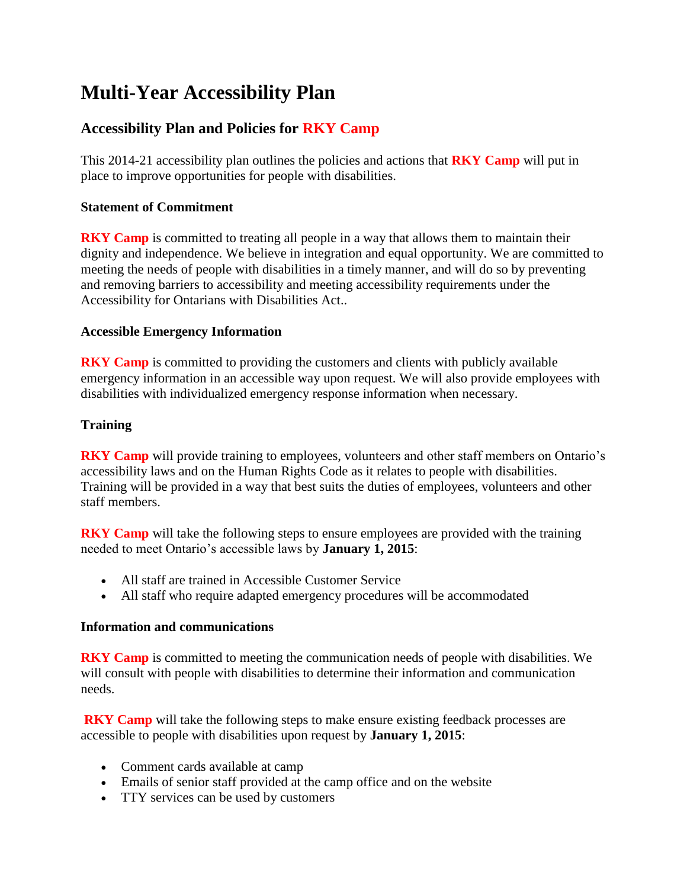# **Multi-Year Accessibility Plan**

# **Accessibility Plan and Policies for RKY Camp**

This 2014-21 accessibility plan outlines the policies and actions that **RKY Camp** will put in place to improve opportunities for people with disabilities.

## **Statement of Commitment**

**RKY Camp** is committed to treating all people in a way that allows them to maintain their dignity and independence. We believe in integration and equal opportunity. We are committed to meeting the needs of people with disabilities in a timely manner, and will do so by preventing and removing barriers to accessibility and meeting accessibility requirements under the Accessibility for Ontarians with Disabilities Act..

## **Accessible Emergency Information**

**RKY Camp** is committed to providing the customers and clients with publicly available emergency information in an accessible way upon request. We will also provide employees with disabilities with individualized emergency response information when necessary.

## **Training**

**RKY Camp** will provide training to employees, volunteers and other staff members on Ontario's accessibility laws and on the Human Rights Code as it relates to people with disabilities. Training will be provided in a way that best suits the duties of employees, volunteers and other staff members.

**RKY Camp** will take the following steps to ensure employees are provided with the training needed to meet Ontario's accessible laws by **January 1, 2015**:

- All staff are trained in Accessible Customer Service
- All staff who require adapted emergency procedures will be accommodated

#### **Information and communications**

**RKY Camp** is committed to meeting the communication needs of people with disabilities. We will consult with people with disabilities to determine their information and communication needs.

**RKY Camp** will take the following steps to make ensure existing feedback processes are accessible to people with disabilities upon request by **January 1, 2015**:

- Comment cards available at camp
- Emails of senior staff provided at the camp office and on the website
- TTY services can be used by customers